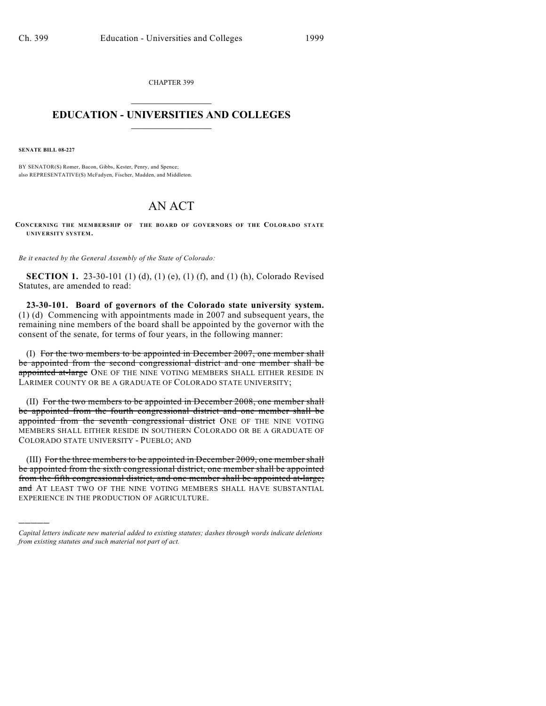CHAPTER 399  $\overline{\phantom{a}}$  . The set of the set of the set of the set of the set of the set of the set of the set of the set of the set of the set of the set of the set of the set of the set of the set of the set of the set of the set o

## **EDUCATION - UNIVERSITIES AND COLLEGES**  $\_$

**SENATE BILL 08-227**

)))))

BY SENATOR(S) Romer, Bacon, Gibbs, Kester, Penry, and Spence; also REPRESENTATIVE(S) McFadyen, Fischer, Madden, and Middleton.

## AN ACT

**CONCERNING THE MEMBERSHIP OF THE BOARD OF GOVERNORS OF THE COLORADO STATE UNIVERSITY SYSTEM.**

*Be it enacted by the General Assembly of the State of Colorado:*

**SECTION 1.** 23-30-101 (1) (d), (1) (e), (1) (f), and (1) (h), Colorado Revised Statutes, are amended to read:

**23-30-101. Board of governors of the Colorado state university system.** (1) (d) Commencing with appointments made in 2007 and subsequent years, the remaining nine members of the board shall be appointed by the governor with the consent of the senate, for terms of four years, in the following manner:

(I) For the two members to be appointed in December 2007, one member shall be appointed from the second congressional district and one member shall be appointed at-large ONE OF THE NINE VOTING MEMBERS SHALL EITHER RESIDE IN LARIMER COUNTY OR BE A GRADUATE OF COLORADO STATE UNIVERSITY;

(II) For the two members to be appointed in December 2008, one member shall be appointed from the fourth congressional district and one member shall be appointed from the seventh congressional district ONE OF THE NINE VOTING MEMBERS SHALL EITHER RESIDE IN SOUTHERN COLORADO OR BE A GRADUATE OF COLORADO STATE UNIVERSITY - PUEBLO; AND

(III) For the three members to be appointed in December 2009, one member shall be appointed from the sixth congressional district, one member shall be appointed from the fifth congressional district, and one member shall be appointed at-large; and AT LEAST TWO OF THE NINE VOTING MEMBERS SHALL HAVE SUBSTANTIAL EXPERIENCE IN THE PRODUCTION OF AGRICULTURE.

*Capital letters indicate new material added to existing statutes; dashes through words indicate deletions from existing statutes and such material not part of act.*